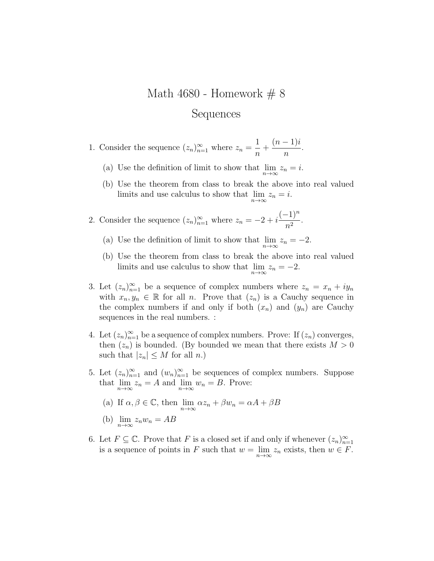## Math 4680 - Homework  $\# 8$ Sequences

- 1. Consider the sequence  $(z_n)_{n=1}^{\infty}$  where  $z_n =$ 1 n  $^{+}$  $(n-1)i$ n .
	- (a) Use the definition of limit to show that  $\lim_{n\to\infty} z_n = i$ .
	- (b) Use the theorem from class to break the above into real valued limits and use calculus to show that  $\lim_{n\to\infty} z_n = i$ .
- 2. Consider the sequence  $(z_n)_{n=1}^{\infty}$  where  $z_n = -2 + i$  $(-1)^n$  $\frac{1}{n^2}$ .
	- (a) Use the definition of limit to show that  $\lim_{n\to\infty} z_n = -2$ .
	- (b) Use the theorem from class to break the above into real valued limits and use calculus to show that  $\lim_{n\to\infty} z_n = -2$ .
- 3. Let  $(z_n)_{n=1}^{\infty}$  be a sequence of complex numbers where  $z_n = x_n + iy_n$ with  $x_n, y_n \in \mathbb{R}$  for all n. Prove that  $(z_n)$  is a Cauchy sequence in the complex numbers if and only if both  $(x_n)$  and  $(y_n)$  are Cauchy sequences in the real numbers. :
- 4. Let  $(z_n)_{n=1}^{\infty}$  be a sequence of complex numbers. Prove: If  $(z_n)$  converges, then  $(z_n)$  is bounded. (By bounded we mean that there exists  $M > 0$ such that  $|z_n| \leq M$  for all n.)
- 5. Let  $(z_n)_{n=1}^{\infty}$  and  $(w_n)_{n=1}^{\infty}$  be sequences of complex numbers. Suppose that  $\lim_{n\to\infty} z_n = A$  and  $\lim_{n\to\infty} w_n = B$ . Prove:
	- (a) If  $\alpha, \beta \in \mathbb{C}$ , then  $\lim_{n \to \infty} \alpha z_n + \beta w_n = \alpha A + \beta B$
	- (b)  $\lim_{n\to\infty} z_n w_n = AB$
- 6. Let  $F \subseteq \mathbb{C}$ . Prove that F is a closed set if and only if whenever  $(z_n)_{n=1}^{\infty}$ is a sequence of points in F such that  $w = \lim_{n \to \infty} z_n$  exists, then  $w \in F$ .